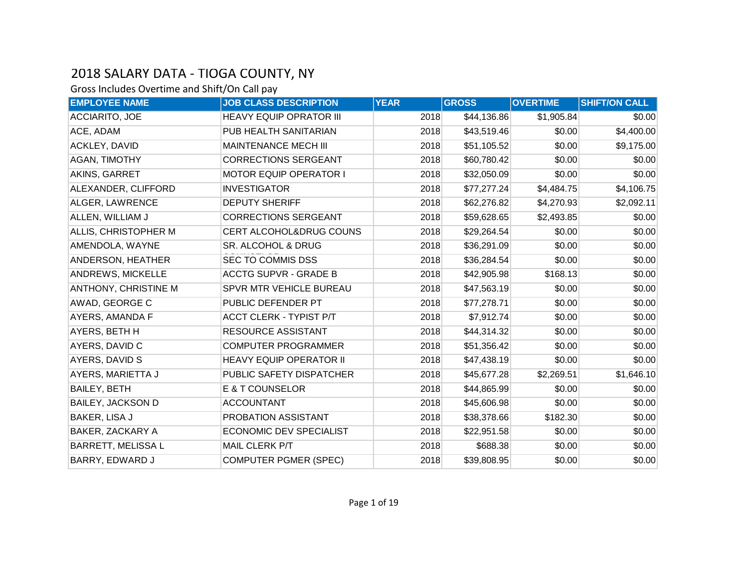| <b>EMPLOYEE NAME</b>      | <b>JOB CLASS DESCRIPTION</b>   | <b>YEAR</b> | <b>GROSS</b> | <b>OVERTIME</b> | <b>SHIFT/ON CALL</b> |
|---------------------------|--------------------------------|-------------|--------------|-----------------|----------------------|
| <b>ACCIARITO, JOE</b>     | <b>HEAVY EQUIP OPRATOR III</b> | 2018        | \$44,136.86  | \$1,905.84      | \$0.00               |
| ACE, ADAM                 | PUB HEALTH SANITARIAN          | 2018        | \$43,519.46  | \$0.00          | \$4,400.00           |
| <b>ACKLEY, DAVID</b>      | <b>MAINTENANCE MECH III</b>    | 2018        | \$51,105.52  | \$0.00          | \$9,175.00           |
| <b>AGAN, TIMOTHY</b>      | <b>CORRECTIONS SERGEANT</b>    | 2018        | \$60,780.42  | \$0.00          | \$0.00               |
| AKINS, GARRET             | <b>MOTOR EQUIP OPERATOR I</b>  | 2018        | \$32,050.09  | \$0.00          | \$0.00               |
| ALEXANDER, CLIFFORD       | <b>INVESTIGATOR</b>            | 2018        | \$77,277.24  | \$4,484.75      | \$4,106.75           |
| ALGER, LAWRENCE           | <b>DEPUTY SHERIFF</b>          | 2018        | \$62,276.82  | \$4,270.93      | \$2,092.11           |
| ALLEN, WILLIAM J          | <b>CORRECTIONS SERGEANT</b>    | 2018        | \$59,628.65  | \$2,493.85      | \$0.00               |
| ALLIS, CHRISTOPHER M      | CERT ALCOHOL&DRUG COUNS        | 2018        | \$29,264.54  | \$0.00          | \$0.00               |
| AMENDOLA, WAYNE           | SR. ALCOHOL & DRUG             | 2018        | \$36,291.09  | \$0.00          | \$0.00               |
| ANDERSON, HEATHER         | SEC TO COMMIS DSS              | 2018        | \$36,284.54  | \$0.00          | \$0.00               |
| ANDREWS, MICKELLE         | <b>ACCTG SUPVR - GRADE B</b>   | 2018        | \$42,905.98  | \$168.13        | \$0.00               |
| ANTHONY, CHRISTINE M      | SPVR MTR VEHICLE BUREAU        | 2018        | \$47,563.19  | \$0.00          | \$0.00               |
| AWAD, GEORGE C            | PUBLIC DEFENDER PT             | 2018        | \$77,278.71  | \$0.00          | \$0.00               |
| AYERS, AMANDA F           | ACCT CLERK - TYPIST P/T        | 2018        | \$7,912.74   | \$0.00          | \$0.00               |
| AYERS, BETH H             | <b>RESOURCE ASSISTANT</b>      | 2018        | \$44,314.32  | \$0.00          | \$0.00               |
| AYERS, DAVID C            | <b>COMPUTER PROGRAMMER</b>     | 2018        | \$51,356.42  | \$0.00          | \$0.00               |
| AYERS, DAVID S            | <b>HEAVY EQUIP OPERATOR II</b> | 2018        | \$47,438.19  | \$0.00          | \$0.00               |
| AYERS, MARIETTA J         | PUBLIC SAFETY DISPATCHER       | 2018        | \$45,677.28  | \$2,269.51      | \$1,646.10           |
| <b>BAILEY, BETH</b>       | E & T COUNSELOR                | 2018        | \$44,865.99  | \$0.00          | \$0.00               |
| <b>BAILEY, JACKSON D</b>  | <b>ACCOUNTANT</b>              | 2018        | \$45,606.98  | \$0.00          | \$0.00               |
| BAKER, LISA J             | PROBATION ASSISTANT            | 2018        | \$38,378.66  | \$182.30        | \$0.00               |
| BAKER, ZACKARY A          | <b>ECONOMIC DEV SPECIALIST</b> | 2018        | \$22,951.58  | \$0.00          | \$0.00               |
| <b>BARRETT, MELISSA L</b> | MAIL CLERK P/T                 | 2018        | \$688.38     | \$0.00          | \$0.00               |
| BARRY, EDWARD J           | <b>COMPUTER PGMER (SPEC)</b>   | 2018        | \$39,808.95  | \$0.00          | \$0.00               |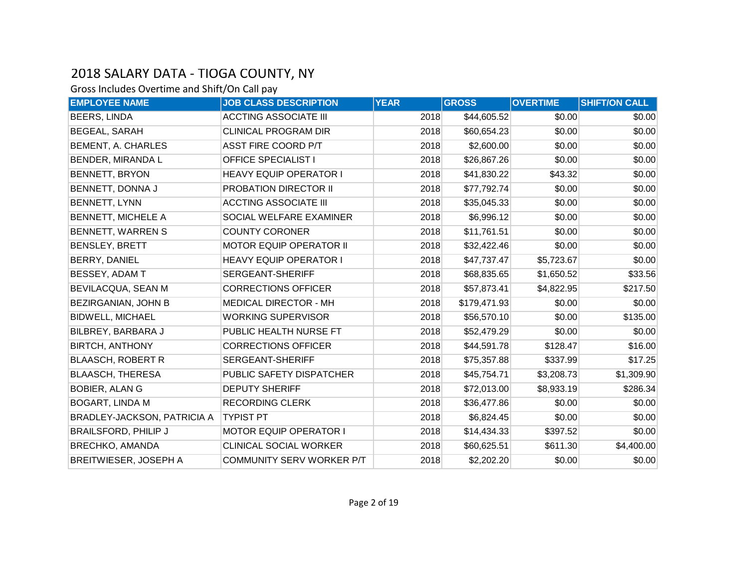| <b>EMPLOYEE NAME</b>               | <b>JOB CLASS DESCRIPTION</b>   | <b>YEAR</b> | <b>GROSS</b> | <b>OVERTIME</b> | <b>SHIFT/ON CALL</b> |
|------------------------------------|--------------------------------|-------------|--------------|-----------------|----------------------|
| <b>BEERS, LINDA</b>                | <b>ACCTING ASSOCIATE III</b>   | 2018        | \$44,605.52  | \$0.00          | \$0.00               |
| <b>BEGEAL, SARAH</b>               | <b>CLINICAL PROGRAM DIR</b>    | 2018        | \$60,654.23  | \$0.00          | \$0.00               |
| <b>BEMENT, A. CHARLES</b>          | ASST FIRE COORD P/T            | 2018        | \$2,600.00   | \$0.00          | \$0.00               |
| <b>BENDER, MIRANDA L</b>           | <b>OFFICE SPECIALIST I</b>     | 2018        | \$26,867.26  | \$0.00          | \$0.00               |
| <b>BENNETT, BRYON</b>              | HEAVY EQUIP OPERATOR I         | 2018        | \$41,830.22  | \$43.32         | \$0.00               |
| BENNETT, DONNA J                   | PROBATION DIRECTOR II          | 2018        | \$77,792.74  | \$0.00          | \$0.00               |
| <b>BENNETT, LYNN</b>               | <b>ACCTING ASSOCIATE III</b>   | 2018        | \$35,045.33  | \$0.00          | \$0.00               |
| <b>BENNETT, MICHELE A</b>          | SOCIAL WELFARE EXAMINER        | 2018        | \$6,996.12   | \$0.00          | \$0.00               |
| <b>BENNETT, WARREN S</b>           | <b>COUNTY CORONER</b>          | 2018        | \$11,761.51  | \$0.00          | \$0.00               |
| <b>BENSLEY, BRETT</b>              | <b>MOTOR EQUIP OPERATOR II</b> | 2018        | \$32,422.46  | \$0.00          | \$0.00               |
| <b>BERRY, DANIEL</b>               | <b>HEAVY EQUIP OPERATOR I</b>  | 2018        | \$47,737.47  | \$5,723.67      | \$0.00               |
| BESSEY, ADAM T                     | SERGEANT-SHERIFF               | 2018        | \$68,835.65  | \$1,650.52      | \$33.56              |
| BEVILACQUA, SEAN M                 | <b>CORRECTIONS OFFICER</b>     | 2018        | \$57,873.41  | \$4,822.95      | \$217.50             |
| BEZIRGANIAN, JOHN B                | <b>MEDICAL DIRECTOR - MH</b>   | 2018        | \$179,471.93 | \$0.00          | \$0.00               |
| <b>BIDWELL, MICHAEL</b>            | <b>WORKING SUPERVISOR</b>      | 2018        | \$56,570.10  | \$0.00          | \$135.00             |
| BILBREY, BARBARA J                 | PUBLIC HEALTH NURSE FT         | 2018        | \$52,479.29  | \$0.00          | \$0.00               |
| <b>BIRTCH, ANTHONY</b>             | <b>CORRECTIONS OFFICER</b>     | 2018        | \$44,591.78  | \$128.47        | \$16.00              |
| <b>BLAASCH, ROBERT R</b>           | SERGEANT-SHERIFF               | 2018        | \$75,357.88  | \$337.99        | \$17.25              |
| <b>BLAASCH, THERESA</b>            | PUBLIC SAFETY DISPATCHER       | 2018        | \$45,754.71  | \$3,208.73      | \$1,309.90           |
| <b>BOBIER, ALAN G</b>              | <b>DEPUTY SHERIFF</b>          | 2018        | \$72,013.00  | \$8,933.19      | \$286.34             |
| <b>BOGART, LINDA M</b>             | <b>RECORDING CLERK</b>         | 2018        | \$36,477.86  | \$0.00          | \$0.00               |
| <b>BRADLEY-JACKSON, PATRICIA A</b> | <b>TYPIST PT</b>               | 2018        | \$6,824.45   | \$0.00          | \$0.00               |
| <b>BRAILSFORD, PHILIP J</b>        | <b>MOTOR EQUIP OPERATOR I</b>  | 2018        | \$14,434.33  | \$397.52        | \$0.00               |
| <b>BRECHKO, AMANDA</b>             | <b>CLINICAL SOCIAL WORKER</b>  | 2018        | \$60,625.51  | \$611.30        | \$4,400.00           |
| BREITWIESER, JOSEPH A              | COMMUNITY SERV WORKER P/T      | 2018        | \$2,202.20   | \$0.00          | \$0.00               |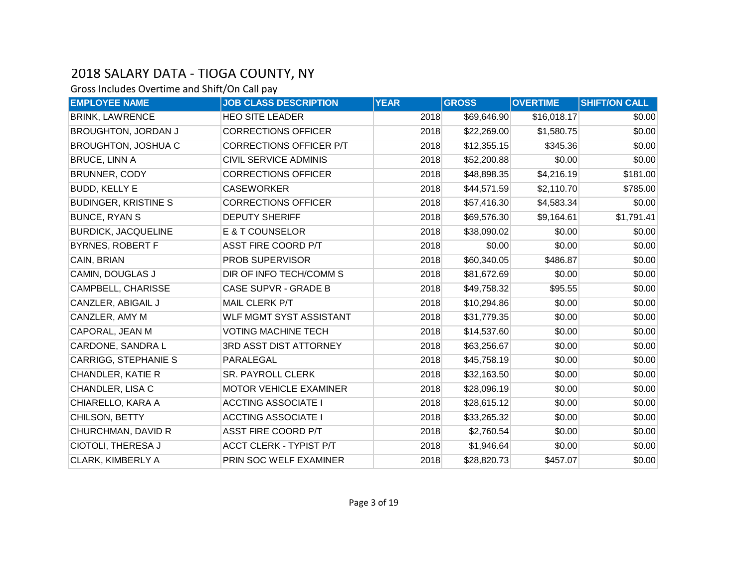| <b>EMPLOYEE NAME</b>        | <b>JOB CLASS DESCRIPTION</b>   | <b>YEAR</b> | <b>GROSS</b> | <b>OVERTIME</b> | <b>SHIFT/ON CALL</b> |
|-----------------------------|--------------------------------|-------------|--------------|-----------------|----------------------|
| <b>BRINK, LAWRENCE</b>      | <b>HEO SITE LEADER</b>         | 2018        | \$69,646.90  | \$16,018.17     | \$0.00               |
| <b>BROUGHTON, JORDAN J</b>  | <b>CORRECTIONS OFFICER</b>     | 2018        | \$22,269.00  | \$1,580.75      | \$0.00               |
| <b>BROUGHTON, JOSHUA C</b>  | <b>CORRECTIONS OFFICER P/T</b> | 2018        | \$12,355.15  | \$345.36        | \$0.00               |
| <b>BRUCE, LINN A</b>        | <b>CIVIL SERVICE ADMINIS</b>   | 2018        | \$52,200.88  | \$0.00          | \$0.00               |
| <b>BRUNNER, CODY</b>        | <b>CORRECTIONS OFFICER</b>     | 2018        | \$48,898.35  | \$4,216.19      | \$181.00             |
| <b>BUDD, KELLY E</b>        | <b>CASEWORKER</b>              | 2018        | \$44,571.59  | \$2,110.70      | \$785.00             |
| <b>BUDINGER, KRISTINE S</b> | <b>CORRECTIONS OFFICER</b>     | 2018        | \$57,416.30  | \$4,583.34      | \$0.00               |
| <b>BUNCE, RYAN S</b>        | <b>DEPUTY SHERIFF</b>          | 2018        | \$69,576.30  | \$9,164.61      | \$1,791.41           |
| <b>BURDICK, JACQUELINE</b>  | E & T COUNSELOR                | 2018        | \$38,090.02  | \$0.00          | \$0.00               |
| <b>BYRNES, ROBERT F</b>     | <b>ASST FIRE COORD P/T</b>     | 2018        | \$0.00       | \$0.00          | \$0.00               |
| CAIN, BRIAN                 | PROB SUPERVISOR                | 2018        | \$60,340.05  | \$486.87        | \$0.00               |
| <b>CAMIN, DOUGLAS J</b>     | DIR OF INFO TECH/COMM S        | 2018        | \$81,672.69  | \$0.00          | \$0.00               |
| CAMPBELL, CHARISSE          | <b>CASE SUPVR - GRADE B</b>    | 2018        | \$49,758.32  | \$95.55         | \$0.00               |
| CANZLER, ABIGAIL J          | MAIL CLERK P/T                 | 2018        | \$10,294.86  | \$0.00          | \$0.00               |
| CANZLER, AMY M              | <b>WLF MGMT SYST ASSISTANT</b> | 2018        | \$31,779.35  | \$0.00          | \$0.00               |
| CAPORAL, JEAN M             | <b>VOTING MACHINE TECH</b>     | 2018        | \$14,537.60  | \$0.00          | \$0.00               |
| CARDONE, SANDRA L           | 3RD ASST DIST ATTORNEY         | 2018        | \$63,256.67  | \$0.00          | \$0.00               |
| <b>CARRIGG, STEPHANIE S</b> | PARALEGAL                      | 2018        | \$45,758.19  | \$0.00          | \$0.00               |
| <b>CHANDLER, KATIE R</b>    | <b>SR. PAYROLL CLERK</b>       | 2018        | \$32,163.50  | \$0.00          | \$0.00               |
| CHANDLER, LISA C            | MOTOR VEHICLE EXAMINER         | 2018        | \$28,096.19  | \$0.00          | \$0.00               |
| CHIARELLO, KARA A           | <b>ACCTING ASSOCIATE I</b>     | 2018        | \$28,615.12  | \$0.00          | \$0.00               |
| CHILSON, BETTY              | <b>ACCTING ASSOCIATE I</b>     | 2018        | \$33,265.32  | \$0.00          | \$0.00               |
| CHURCHMAN, DAVID R          | ASST FIRE COORD P/T            | 2018        | \$2,760.54   | \$0.00          | \$0.00               |
| CIOTOLI, THERESA J          | ACCT CLERK - TYPIST P/T        | 2018        | \$1,946.64   | \$0.00          | \$0.00               |
| <b>CLARK, KIMBERLY A</b>    | PRIN SOC WELF EXAMINER         | 2018        | \$28,820.73  | \$457.07        | \$0.00               |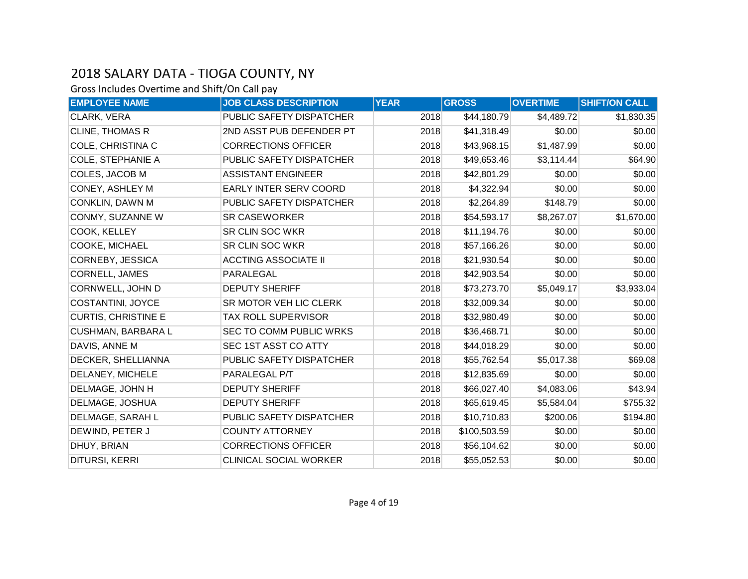| <b>EMPLOYEE NAME</b>       | <b>JOB CLASS DESCRIPTION</b>  | <b>YEAR</b> | <b>GROSS</b> | <b>OVERTIME</b> | <b>SHIFT/ON CALL</b> |
|----------------------------|-------------------------------|-------------|--------------|-----------------|----------------------|
| CLARK, VERA                | PUBLIC SAFETY DISPATCHER      | 2018        | \$44,180.79  | \$4,489.72      | \$1,830.35           |
| CLINE, THOMAS R            | 2ND ASST PUB DEFENDER PT      | 2018        | \$41,318.49  | \$0.00          | \$0.00               |
| COLE, CHRISTINA C          | <b>CORRECTIONS OFFICER</b>    | 2018        | \$43,968.15  | \$1,487.99      | \$0.00               |
| <b>COLE, STEPHANIE A</b>   | PUBLIC SAFETY DISPATCHER      | 2018        | \$49,653.46  | \$3,114.44      | \$64.90              |
| COLES, JACOB M             | <b>ASSISTANT ENGINEER</b>     | 2018        | \$42,801.29  | \$0.00          | \$0.00               |
| CONEY, ASHLEY M            | EARLY INTER SERV COORD        | 2018        | \$4,322.94   | \$0.00          | \$0.00               |
| <b>CONKLIN, DAWN M</b>     | PUBLIC SAFETY DISPATCHER      | 2018        | \$2,264.89   | \$148.79        | \$0.00               |
| CONMY, SUZANNE W           | <b>SR CASEWORKER</b>          | 2018        | \$54,593.17  | \$8,267.07      | \$1,670.00           |
| COOK, KELLEY               | <b>SR CLIN SOC WKR</b>        | 2018        | \$11,194.76  | \$0.00          | \$0.00               |
| COOKE, MICHAEL             | <b>SR CLIN SOC WKR</b>        | 2018        | \$57,166.26  | \$0.00          | \$0.00               |
| CORNEBY, JESSICA           | <b>ACCTING ASSOCIATE II</b>   | 2018        | \$21,930.54  | \$0.00          | \$0.00               |
| CORNELL, JAMES             | PARALEGAL                     | 2018        | \$42,903.54  | \$0.00          | \$0.00               |
| CORNWELL, JOHN D           | <b>DEPUTY SHERIFF</b>         | 2018        | \$73,273.70  | \$5,049.17      | \$3,933.04           |
| COSTANTINI, JOYCE          | SR MOTOR VEH LIC CLERK        | 2018        | \$32,009.34  | \$0.00          | \$0.00               |
| <b>CURTIS, CHRISTINE E</b> | <b>TAX ROLL SUPERVISOR</b>    | 2018        | \$32,980.49  | \$0.00          | \$0.00               |
| <b>CUSHMAN, BARBARA L</b>  | SEC TO COMM PUBLIC WRKS       | 2018        | \$36,468.71  | \$0.00          | \$0.00               |
| DAVIS, ANNE M              | SEC 1ST ASST CO ATTY          | 2018        | \$44,018.29  | \$0.00          | \$0.00               |
| DECKER, SHELLIANNA         | PUBLIC SAFETY DISPATCHER      | 2018        | \$55,762.54  | \$5,017.38      | \$69.08              |
| DELANEY, MICHELE           | PARALEGAL P/T                 | 2018        | \$12,835.69  | \$0.00          | \$0.00               |
| DELMAGE, JOHN H            | <b>DEPUTY SHERIFF</b>         | 2018        | \$66,027.40  | \$4,083.06      | \$43.94              |
| DELMAGE, JOSHUA            | <b>DEPUTY SHERIFF</b>         | 2018        | \$65,619.45  | \$5,584.04      | \$755.32             |
| DELMAGE, SARAH L           | PUBLIC SAFETY DISPATCHER      | 2018        | \$10,710.83  | \$200.06        | \$194.80             |
| DEWIND, PETER J            | <b>COUNTY ATTORNEY</b>        | 2018        | \$100,503.59 | \$0.00          | \$0.00               |
| DHUY, BRIAN                | <b>CORRECTIONS OFFICER</b>    | 2018        | \$56,104.62  | \$0.00          | \$0.00               |
| <b>DITURSI, KERRI</b>      | <b>CLINICAL SOCIAL WORKER</b> | 2018        | \$55,052.53  | \$0.00          | \$0.00               |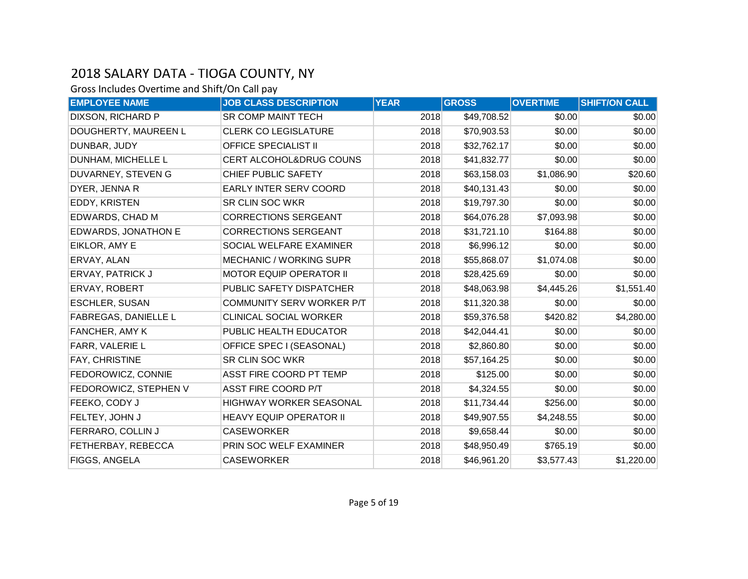| <b>EMPLOYEE NAME</b>        | <b>JOB CLASS DESCRIPTION</b>   | <b>YEAR</b> | <b>GROSS</b> | <b>OVERTIME</b> | <b>SHIFT/ON CALL</b> |
|-----------------------------|--------------------------------|-------------|--------------|-----------------|----------------------|
| DIXSON, RICHARD P           | SR COMP MAINT TECH             | 2018        | \$49,708.52  | \$0.00          | \$0.00               |
| DOUGHERTY, MAUREEN L        | <b>CLERK CO LEGISLATURE</b>    | 2018        | \$70,903.53  | \$0.00          | \$0.00               |
| DUNBAR, JUDY                | <b>OFFICE SPECIALIST II</b>    | 2018        | \$32,762.17  | \$0.00          | \$0.00               |
| DUNHAM, MICHELLE L          | CERT ALCOHOL&DRUG COUNS        | 2018        | \$41,832.77  | \$0.00          | \$0.00               |
| DUVARNEY, STEVEN G          | CHIEF PUBLIC SAFETY            | 2018        | \$63,158.03  | \$1,086.90      | \$20.60              |
| DYER, JENNA R               | EARLY INTER SERV COORD         | 2018        | \$40,131.43  | \$0.00          | \$0.00               |
| EDDY, KRISTEN               | <b>SR CLIN SOC WKR</b>         | 2018        | \$19,797.30  | \$0.00          | \$0.00               |
| <b>EDWARDS, CHAD M</b>      | <b>CORRECTIONS SERGEANT</b>    | 2018        | \$64,076.28  | \$7,093.98      | \$0.00               |
| <b>EDWARDS, JONATHON E</b>  | <b>CORRECTIONS SERGEANT</b>    | 2018        | \$31,721.10  | \$164.88        | \$0.00               |
| EIKLOR, AMY E               | SOCIAL WELFARE EXAMINER        | 2018        | \$6,996.12   | \$0.00          | \$0.00               |
| ERVAY, ALAN                 | <b>MECHANIC / WORKING SUPR</b> | 2018        | \$55,868.07  | \$1,074.08      | \$0.00               |
| <b>ERVAY, PATRICK J</b>     | <b>MOTOR EQUIP OPERATOR II</b> | 2018        | \$28,425.69  | \$0.00          | \$0.00               |
| ERVAY, ROBERT               | PUBLIC SAFETY DISPATCHER       | 2018        | \$48,063.98  | \$4,445.26      | \$1,551.40           |
| <b>ESCHLER, SUSAN</b>       | COMMUNITY SERV WORKER P/T      | 2018        | \$11,320.38  | \$0.00          | \$0.00               |
| <b>FABREGAS, DANIELLE L</b> | <b>CLINICAL SOCIAL WORKER</b>  | 2018        | \$59,376.58  | \$420.82        | \$4,280.00           |
| <b>FANCHER, AMY K</b>       | PUBLIC HEALTH EDUCATOR         | 2018        | \$42,044.41  | \$0.00          | \$0.00               |
| FARR, VALERIE L             | OFFICE SPEC I (SEASONAL)       | 2018        | \$2,860.80   | \$0.00          | \$0.00               |
| FAY, CHRISTINE              | SR CLIN SOC WKR                | 2018        | \$57,164.25  | \$0.00          | \$0.00               |
| FEDOROWICZ, CONNIE          | ASST FIRE COORD PT TEMP        | 2018        | \$125.00     | \$0.00          | \$0.00               |
| FEDOROWICZ, STEPHEN V       | ASST FIRE COORD P/T            | 2018        | \$4,324.55   | \$0.00          | \$0.00               |
| FEEKO, CODY J               | HIGHWAY WORKER SEASONAL        | 2018        | \$11,734.44  | \$256.00        | \$0.00               |
| FELTEY, JOHN J              | <b>HEAVY EQUIP OPERATOR II</b> | 2018        | \$49,907.55  | \$4,248.55      | \$0.00               |
| FERRARO, COLLIN J           | <b>CASEWORKER</b>              | 2018        | \$9,658.44   | \$0.00          | \$0.00               |
| FETHERBAY, REBECCA          | PRIN SOC WELF EXAMINER         | 2018        | \$48,950.49  | \$765.19        | \$0.00               |
| FIGGS, ANGELA               | <b>CASEWORKER</b>              | 2018        | \$46,961.20  | \$3,577.43      | \$1,220.00           |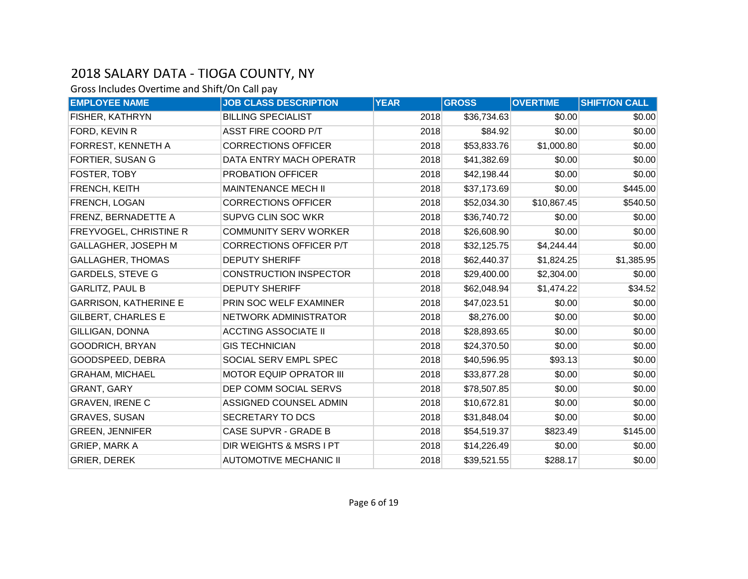| <b>EMPLOYEE NAME</b>         | <b>JOB CLASS DESCRIPTION</b>   | <b>YEAR</b> | <b>GROSS</b> | <b>OVERTIME</b> | <b>SHIFT/ON CALL</b> |
|------------------------------|--------------------------------|-------------|--------------|-----------------|----------------------|
| FISHER, KATHRYN              | <b>BILLING SPECIALIST</b>      | 2018        | \$36,734.63  | \$0.00          | \$0.00               |
| FORD, KEVIN R                | ASST FIRE COORD P/T            | 2018        | \$84.92      | \$0.00          | \$0.00               |
| FORREST, KENNETH A           | <b>CORRECTIONS OFFICER</b>     | 2018        | \$53,833.76  | \$1,000.80      | \$0.00               |
| <b>FORTIER, SUSAN G</b>      | DATA ENTRY MACH OPERATR        | 2018        | \$41,382.69  | \$0.00          | \$0.00               |
| FOSTER, TOBY                 | PROBATION OFFICER              | 2018        | \$42,198.44  | \$0.00          | \$0.00               |
| FRENCH, KEITH                | MAINTENANCE MECH II            | 2018        | \$37,173.69  | \$0.00          | \$445.00             |
| FRENCH, LOGAN                | <b>CORRECTIONS OFFICER</b>     | 2018        | \$52,034.30  | \$10,867.45     | \$540.50             |
| FRENZ, BERNADETTE A          | SUPVG CLIN SOC WKR             | 2018        | \$36,740.72  | \$0.00          | \$0.00               |
| FREYVOGEL, CHRISTINE R       | <b>COMMUNITY SERV WORKER</b>   | 2018        | \$26,608.90  | \$0.00          | \$0.00               |
| GALLAGHER, JOSEPH M          | <b>CORRECTIONS OFFICER P/T</b> | 2018        | \$32,125.75  | \$4,244.44      | \$0.00               |
| <b>GALLAGHER, THOMAS</b>     | <b>DEPUTY SHERIFF</b>          | 2018        | \$62,440.37  | \$1,824.25      | \$1,385.95           |
| <b>GARDELS, STEVE G</b>      | <b>CONSTRUCTION INSPECTOR</b>  | 2018        | \$29,400.00  | \$2,304.00      | \$0.00               |
| <b>GARLITZ, PAUL B</b>       | <b>DEPUTY SHERIFF</b>          | 2018        | \$62,048.94  | \$1,474.22      | \$34.52              |
| <b>GARRISON, KATHERINE E</b> | PRIN SOC WELF EXAMINER         | 2018        | \$47,023.51  | \$0.00          | \$0.00               |
| <b>GILBERT, CHARLES E</b>    | NETWORK ADMINISTRATOR          | 2018        | \$8,276.00   | \$0.00          | \$0.00               |
| <b>GILLIGAN, DONNA</b>       | <b>ACCTING ASSOCIATE II</b>    | 2018        | \$28,893.65  | \$0.00          | \$0.00               |
| <b>GOODRICH, BRYAN</b>       | <b>GIS TECHNICIAN</b>          | 2018        | \$24,370.50  | \$0.00          | \$0.00               |
| GOODSPEED, DEBRA             | SOCIAL SERV EMPL SPEC          | 2018        | \$40,596.95  | \$93.13         | \$0.00               |
| <b>GRAHAM, MICHAEL</b>       | <b>MOTOR EQUIP OPRATOR III</b> | 2018        | \$33,877.28  | \$0.00          | \$0.00               |
| <b>GRANT, GARY</b>           | DEP COMM SOCIAL SERVS          | 2018        | \$78,507.85  | \$0.00          | \$0.00               |
| <b>GRAVEN, IRENE C</b>       | ASSIGNED COUNSEL ADMIN         | 2018        | \$10,672.81  | \$0.00          | \$0.00               |
| <b>GRAVES, SUSAN</b>         | SECRETARY TO DCS               | 2018        | \$31,848.04  | \$0.00          | \$0.00               |
| <b>GREEN, JENNIFER</b>       | <b>CASE SUPVR - GRADE B</b>    | 2018        | \$54,519.37  | \$823.49        | \$145.00             |
| <b>GRIEP, MARK A</b>         | DIR WEIGHTS & MSRS I PT        | 2018        | \$14,226.49  | \$0.00          | \$0.00               |
| <b>GRIER, DEREK</b>          | <b>AUTOMOTIVE MECHANIC II</b>  | 2018        | \$39,521.55  | \$288.17        | \$0.00               |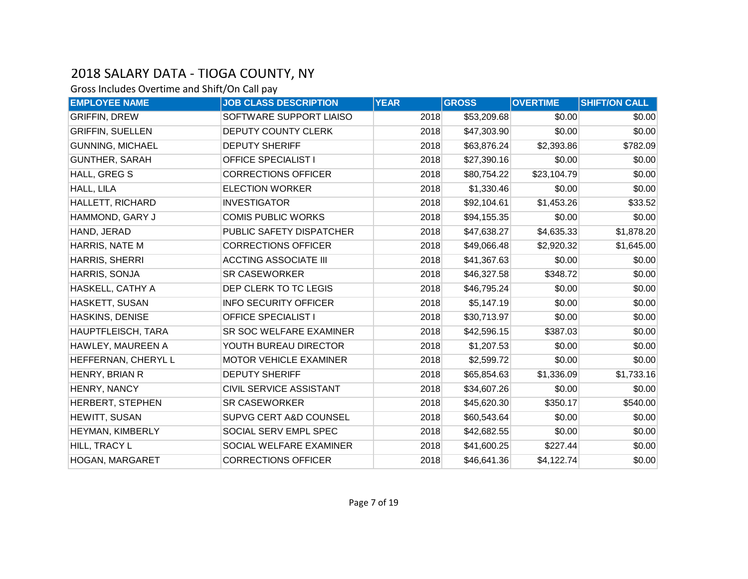| <b>EMPLOYEE NAME</b>    | <b>JOB CLASS DESCRIPTION</b>   | <b>YEAR</b> | <b>GROSS</b> | <b>OVERTIME</b> | <b>SHIFT/ON CALL</b> |
|-------------------------|--------------------------------|-------------|--------------|-----------------|----------------------|
| <b>GRIFFIN, DREW</b>    | SOFTWARE SUPPORT LIAISO        | 2018        | \$53,209.68  | \$0.00          | \$0.00               |
| <b>GRIFFIN, SUELLEN</b> | <b>DEPUTY COUNTY CLERK</b>     | 2018        | \$47,303.90  | \$0.00          | \$0.00               |
| <b>GUNNING, MICHAEL</b> | <b>DEPUTY SHERIFF</b>          | 2018        | \$63,876.24  | \$2,393.86      | \$782.09             |
| <b>GUNTHER, SARAH</b>   | <b>OFFICE SPECIALIST I</b>     | 2018        | \$27,390.16  | \$0.00          | \$0.00               |
| HALL, GREG S            | <b>CORRECTIONS OFFICER</b>     | 2018        | \$80,754.22  | \$23,104.79     | \$0.00               |
| HALL, LILA              | <b>ELECTION WORKER</b>         | 2018        | \$1,330.46   | \$0.00          | \$0.00               |
| HALLETT, RICHARD        | <b>INVESTIGATOR</b>            | 2018        | \$92,104.61  | \$1,453.26      | \$33.52              |
| HAMMOND, GARY J         | <b>COMIS PUBLIC WORKS</b>      | 2018        | \$94,155.35  | \$0.00          | \$0.00               |
| HAND, JERAD             | PUBLIC SAFETY DISPATCHER       | 2018        | \$47,638.27  | \$4,635.33      | \$1,878.20           |
| HARRIS, NATE M          | <b>CORRECTIONS OFFICER</b>     | 2018        | \$49,066.48  | \$2,920.32      | \$1,645.00           |
| HARRIS, SHERRI          | <b>ACCTING ASSOCIATE III</b>   | 2018        | \$41,367.63  | \$0.00          | \$0.00               |
| HARRIS, SONJA           | <b>SR CASEWORKER</b>           | 2018        | \$46,327.58  | \$348.72        | \$0.00               |
| HASKELL, CATHY A        | DEP CLERK TO TC LEGIS          | 2018        | \$46,795.24  | \$0.00          | \$0.00               |
| HASKETT, SUSAN          | <b>INFO SECURITY OFFICER</b>   | 2018        | \$5,147.19   | \$0.00          | \$0.00               |
| <b>HASKINS, DENISE</b>  | <b>OFFICE SPECIALIST I</b>     | 2018        | \$30,713.97  | \$0.00          | \$0.00               |
| HAUPTFLEISCH, TARA      | <b>SR SOC WELFARE EXAMINER</b> | 2018        | \$42,596.15  | \$387.03        | \$0.00               |
| HAWLEY, MAUREEN A       | YOUTH BUREAU DIRECTOR          | 2018        | \$1,207.53   | \$0.00          | \$0.00               |
| HEFFERNAN, CHERYL L     | <b>MOTOR VEHICLE EXAMINER</b>  | 2018        | \$2,599.72   | \$0.00          | \$0.00               |
| HENRY, BRIAN R          | <b>DEPUTY SHERIFF</b>          | 2018        | \$65,854.63  | \$1,336.09      | \$1,733.16           |
| HENRY, NANCY            | CIVIL SERVICE ASSISTANT        | 2018        | \$34,607.26  | \$0.00          | \$0.00               |
| HERBERT, STEPHEN        | <b>SR CASEWORKER</b>           | 2018        | \$45,620.30  | \$350.17        | \$540.00             |
| HEWITT, SUSAN           | SUPVG CERT A&D COUNSEL         | 2018        | \$60,543.64  | \$0.00          | \$0.00               |
| HEYMAN, KIMBERLY        | SOCIAL SERV EMPL SPEC          | 2018        | \$42,682.55  | \$0.00          | \$0.00               |
| HILL, TRACY L           | SOCIAL WELFARE EXAMINER        | 2018        | \$41,600.25  | \$227.44        | \$0.00               |
| <b>HOGAN, MARGARET</b>  | <b>CORRECTIONS OFFICER</b>     | 2018        | \$46,641.36  | \$4,122.74      | \$0.00               |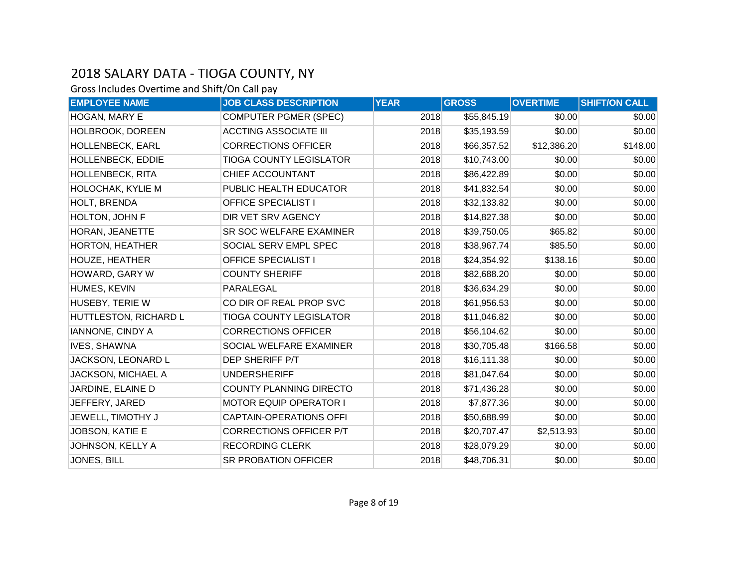| <b>EMPLOYEE NAME</b>    | <b>JOB CLASS DESCRIPTION</b>   | <b>YEAR</b> | <b>GROSS</b> | <b>OVERTIME</b> | <b>SHIFT/ON CALL</b> |
|-------------------------|--------------------------------|-------------|--------------|-----------------|----------------------|
| HOGAN, MARY E           | <b>COMPUTER PGMER (SPEC)</b>   | 2018        | \$55,845.19  | \$0.00          | \$0.00               |
| HOLBROOK, DOREEN        | <b>ACCTING ASSOCIATE III</b>   | 2018        | \$35,193.59  | \$0.00          | \$0.00               |
| HOLLENBECK, EARL        | <b>CORRECTIONS OFFICER</b>     | 2018        | \$66,357.52  | \$12,386.20     | \$148.00             |
| HOLLENBECK, EDDIE       | <b>TIOGA COUNTY LEGISLATOR</b> | 2018        | \$10,743.00  | \$0.00          | \$0.00               |
| <b>HOLLENBECK, RITA</b> | CHIEF ACCOUNTANT               | 2018        | \$86,422.89  | \$0.00          | \$0.00               |
| HOLOCHAK, KYLIE M       | PUBLIC HEALTH EDUCATOR         | 2018        | \$41,832.54  | \$0.00          | \$0.00               |
| HOLT, BRENDA            | <b>OFFICE SPECIALIST I</b>     | 2018        | \$32,133.82  | \$0.00          | \$0.00               |
| HOLTON, JOHN F          | DIR VET SRV AGENCY             | 2018        | \$14,827.38  | \$0.00          | \$0.00               |
| HORAN, JEANETTE         | SR SOC WELFARE EXAMINER        | 2018        | \$39,750.05  | \$65.82         | \$0.00               |
| HORTON, HEATHER         | SOCIAL SERV EMPL SPEC          | 2018        | \$38,967.74  | \$85.50         | \$0.00               |
| <b>HOUZE, HEATHER</b>   | <b>OFFICE SPECIALIST I</b>     | 2018        | \$24,354.92  | \$138.16        | \$0.00               |
| HOWARD, GARY W          | <b>COUNTY SHERIFF</b>          | 2018        | \$82,688.20  | \$0.00          | \$0.00               |
| HUMES, KEVIN            | PARALEGAL                      | 2018        | \$36,634.29  | \$0.00          | \$0.00               |
| HUSEBY, TERIE W         | CO DIR OF REAL PROP SVC        | 2018        | \$61,956.53  | \$0.00          | \$0.00               |
| HUTTLESTON, RICHARD L   | <b>TIOGA COUNTY LEGISLATOR</b> | 2018        | \$11,046.82  | \$0.00          | \$0.00               |
| IANNONE, CINDY A        | <b>CORRECTIONS OFFICER</b>     | 2018        | \$56,104.62  | \$0.00          | \$0.00               |
| <b>IVES, SHAWNA</b>     | SOCIAL WELFARE EXAMINER        | 2018        | \$30,705.48  | \$166.58        | \$0.00               |
| JACKSON, LEONARD L      | DEP SHERIFF P/T                | 2018        | \$16,111.38  | \$0.00          | \$0.00               |
| JACKSON, MICHAEL A      | <b>UNDERSHERIFF</b>            | 2018        | \$81,047.64  | \$0.00          | \$0.00               |
| JARDINE, ELAINE D       | <b>COUNTY PLANNING DIRECTO</b> | 2018        | \$71,436.28  | \$0.00          | \$0.00               |
| JEFFERY, JARED          | <b>MOTOR EQUIP OPERATOR I</b>  | 2018        | \$7,877.36   | \$0.00          | \$0.00               |
| JEWELL, TIMOTHY J       | <b>CAPTAIN-OPERATIONS OFFI</b> | 2018        | \$50,688.99  | \$0.00          | \$0.00               |
| JOBSON, KATIE E         | <b>CORRECTIONS OFFICER P/T</b> | 2018        | \$20,707.47  | \$2,513.93      | \$0.00               |
| JOHNSON, KELLY A        | <b>RECORDING CLERK</b>         | 2018        | \$28,079.29  | \$0.00          | \$0.00               |
| JONES, BILL             | <b>SR PROBATION OFFICER</b>    | 2018        | \$48,706.31  | \$0.00          | \$0.00               |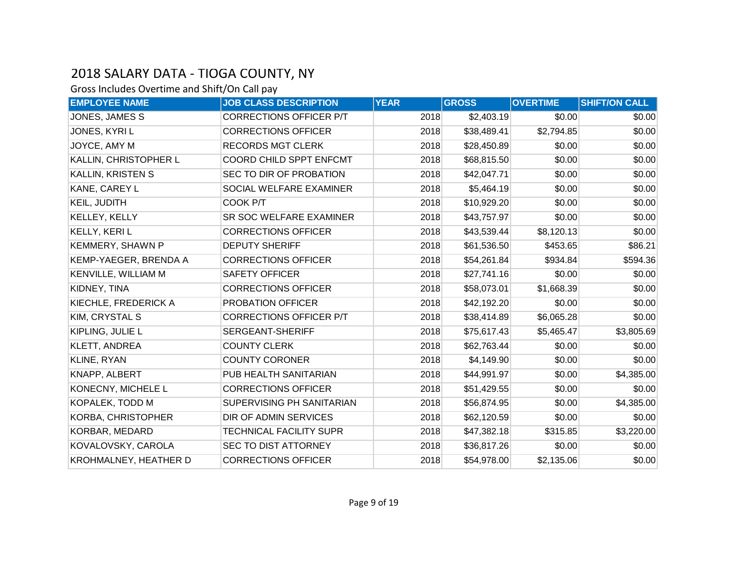| <b>EMPLOYEE NAME</b>      | <b>JOB CLASS DESCRIPTION</b>   | <b>YEAR</b> | <b>GROSS</b> | <b>OVERTIME</b> | <b>SHIFT/ON CALL</b> |
|---------------------------|--------------------------------|-------------|--------------|-----------------|----------------------|
| JONES, JAMES S            | <b>CORRECTIONS OFFICER P/T</b> | 2018        | \$2,403.19   | \$0.00          | \$0.00               |
| JONES, KYRIL              | <b>CORRECTIONS OFFICER</b>     | 2018        | \$38,489.41  | \$2,794.85      | \$0.00               |
| JOYCE, AMY M              | <b>RECORDS MGT CLERK</b>       | 2018        | \$28,450.89  | \$0.00          | \$0.00               |
| KALLIN, CHRISTOPHER L     | COORD CHILD SPPT ENFCMT        | 2018        | \$68,815.50  | \$0.00          | \$0.00               |
| KALLIN, KRISTEN S         | SEC TO DIR OF PROBATION        | 2018        | \$42,047.71  | \$0.00          | \$0.00               |
| KANE, CAREY L             | SOCIAL WELFARE EXAMINER        | 2018        | \$5,464.19   | \$0.00          | \$0.00               |
| KEIL, JUDITH              | COOK P/T                       | 2018        | \$10,929.20  | \$0.00          | \$0.00               |
| KELLEY, KELLY             | SR SOC WELFARE EXAMINER        | 2018        | \$43,757.97  | \$0.00          | \$0.00               |
| <b>KELLY, KERIL</b>       | <b>CORRECTIONS OFFICER</b>     | 2018        | \$43,539.44  | \$8,120.13      | \$0.00               |
| <b>KEMMERY, SHAWN P</b>   | <b>DEPUTY SHERIFF</b>          | 2018        | \$61,536.50  | \$453.65        | \$86.21              |
| KEMP-YAEGER, BRENDA A     | <b>CORRECTIONS OFFICER</b>     | 2018        | \$54,261.84  | \$934.84        | \$594.36             |
| KENVILLE, WILLIAM M       | <b>SAFETY OFFICER</b>          | 2018        | \$27,741.16  | \$0.00          | \$0.00               |
| KIDNEY, TINA              | <b>CORRECTIONS OFFICER</b>     | 2018        | \$58,073.01  | \$1,668.39      | \$0.00               |
| KIECHLE, FREDERICK A      | PROBATION OFFICER              | 2018        | \$42,192.20  | \$0.00          | \$0.00               |
| KIM, CRYSTAL S            | <b>CORRECTIONS OFFICER P/T</b> | 2018        | \$38,414.89  | \$6,065.28      | \$0.00               |
| KIPLING, JULIE L          | SERGEANT-SHERIFF               | 2018        | \$75,617.43  | \$5,465.47      | \$3,805.69           |
| <b>KLETT, ANDREA</b>      | <b>COUNTY CLERK</b>            | 2018        | \$62,763.44  | \$0.00          | \$0.00               |
| KLINE, RYAN               | <b>COUNTY CORONER</b>          | 2018        | \$4,149.90   | \$0.00          | \$0.00               |
| KNAPP, ALBERT             | PUB HEALTH SANITARIAN          | 2018        | \$44,991.97  | \$0.00          | \$4,385.00           |
| KONECNY, MICHELE L        | <b>CORRECTIONS OFFICER</b>     | 2018        | \$51,429.55  | \$0.00          | \$0.00               |
| KOPALEK, TODD M           | SUPERVISING PH SANITARIAN      | 2018        | \$56,874.95  | \$0.00          | \$4,385.00           |
| <b>KORBA, CHRISTOPHER</b> | DIR OF ADMIN SERVICES          | 2018        | \$62,120.59  | \$0.00          | \$0.00               |
| KORBAR, MEDARD            | TECHNICAL FACILITY SUPR        | 2018        | \$47,382.18  | \$315.85        | \$3,220.00           |
| KOVALOVSKY, CAROLA        | SEC TO DIST ATTORNEY           | 2018        | \$36,817.26  | \$0.00          | \$0.00               |
| KROHMALNEY, HEATHER D     | <b>CORRECTIONS OFFICER</b>     | 2018        | \$54,978.00  | \$2,135.06      | \$0.00               |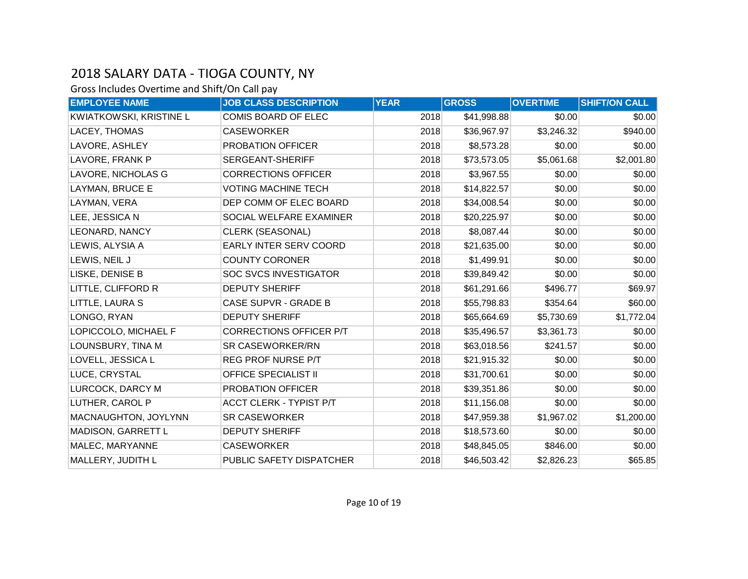| <b>EMPLOYEE NAME</b>           | <b>JOB CLASS DESCRIPTION</b>   | <b>YEAR</b> | <b>GROSS</b> | <b>OVERTIME</b> | <b>SHIFT/ON CALL</b> |
|--------------------------------|--------------------------------|-------------|--------------|-----------------|----------------------|
| <b>KWIATKOWSKI, KRISTINE L</b> | COMIS BOARD OF ELEC            | 2018        | \$41,998.88  | \$0.00          | \$0.00               |
| LACEY, THOMAS                  | <b>CASEWORKER</b>              | 2018        | \$36,967.97  | \$3,246.32      | \$940.00             |
| LAVORE, ASHLEY                 | PROBATION OFFICER              | 2018        | \$8,573.28   | \$0.00          | \$0.00               |
| LAVORE, FRANK P                | SERGEANT-SHERIFF               | 2018        | \$73,573.05  | \$5,061.68      | \$2,001.80           |
| LAVORE, NICHOLAS G             | <b>CORRECTIONS OFFICER</b>     | 2018        | \$3,967.55   | \$0.00          | \$0.00               |
| LAYMAN, BRUCE E                | <b>VOTING MACHINE TECH</b>     | 2018        | \$14,822.57  | \$0.00          | \$0.00               |
| LAYMAN, VERA                   | DEP COMM OF ELEC BOARD         | 2018        | \$34,008.54  | \$0.00          | \$0.00               |
| LEE, JESSICA N                 | SOCIAL WELFARE EXAMINER        | 2018        | \$20,225.97  | \$0.00          | \$0.00               |
| <b>LEONARD, NANCY</b>          | <b>CLERK (SEASONAL)</b>        | 2018        | \$8,087.44   | \$0.00          | \$0.00               |
| LEWIS, ALYSIA A                | EARLY INTER SERV COORD         | 2018        | \$21,635.00  | \$0.00          | \$0.00               |
| LEWIS, NEIL J                  | <b>COUNTY CORONER</b>          | 2018        | \$1,499.91   | \$0.00          | \$0.00               |
| LISKE, DENISE B                | <b>SOC SVCS INVESTIGATOR</b>   | 2018        | \$39,849.42  | \$0.00          | \$0.00               |
| LITTLE, CLIFFORD R             | <b>DEPUTY SHERIFF</b>          | 2018        | \$61,291.66  | \$496.77        | \$69.97              |
| LITTLE, LAURA S                | <b>CASE SUPVR - GRADE B</b>    | 2018        | \$55,798.83  | \$354.64        | \$60.00              |
| LONGO, RYAN                    | <b>DEPUTY SHERIFF</b>          | 2018        | \$65,664.69  | \$5,730.69      | \$1,772.04           |
| LOPICCOLO, MICHAEL F           | CORRECTIONS OFFICER P/T        | 2018        | \$35,496.57  | \$3,361.73      | \$0.00               |
| LOUNSBURY, TINA M              | SR CASEWORKER/RN               | 2018        | \$63,018.56  | \$241.57        | \$0.00               |
| LOVELL, JESSICA L              | REG PROF NURSE P/T             | 2018        | \$21,915.32  | \$0.00          | \$0.00               |
| LUCE, CRYSTAL                  | <b>OFFICE SPECIALIST II</b>    | 2018        | \$31,700.61  | \$0.00          | \$0.00               |
| LURCOCK, DARCY M               | PROBATION OFFICER              | 2018        | \$39,351.86  | \$0.00          | \$0.00               |
| LUTHER, CAROL P                | <b>ACCT CLERK - TYPIST P/T</b> | 2018        | \$11,156.08  | \$0.00          | \$0.00               |
| MACNAUGHTON, JOYLYNN           | <b>SR CASEWORKER</b>           | 2018        | \$47,959.38  | \$1,967.02      | \$1,200.00           |
| MADISON, GARRETT L             | <b>DEPUTY SHERIFF</b>          | 2018        | \$18,573.60  | \$0.00          | \$0.00               |
| MALEC, MARYANNE                | <b>CASEWORKER</b>              | 2018        | \$48,845.05  | \$846.00        | \$0.00               |
| MALLERY, JUDITH L              | PUBLIC SAFETY DISPATCHER       | 2018        | \$46,503.42  | \$2,826.23      | \$65.85              |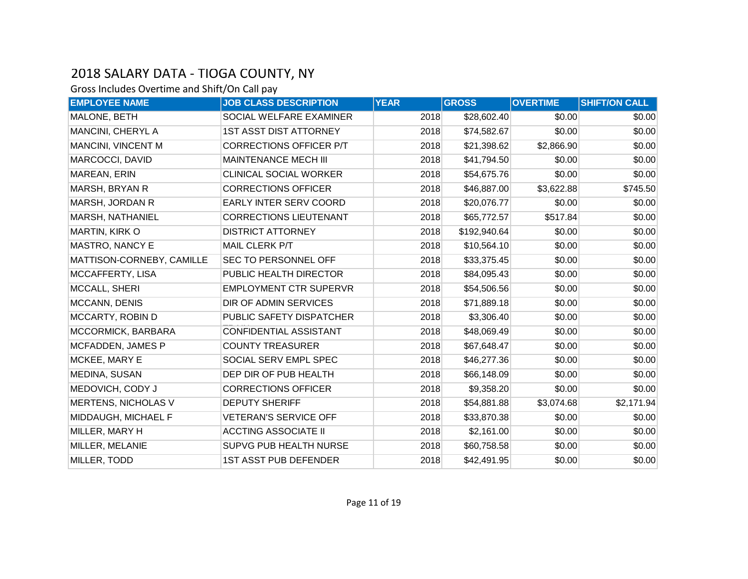| <b>EMPLOYEE NAME</b>       | <b>JOB CLASS DESCRIPTION</b>   | <b>YEAR</b> | <b>GROSS</b> | <b>OVERTIME</b> | <b>SHIFT/ON CALL</b> |
|----------------------------|--------------------------------|-------------|--------------|-----------------|----------------------|
| MALONE, BETH               | SOCIAL WELFARE EXAMINER        | 2018        | \$28,602.40  | \$0.00          | \$0.00               |
| MANCINI, CHERYL A          | <b>1ST ASST DIST ATTORNEY</b>  | 2018        | \$74,582.67  | \$0.00          | \$0.00               |
| MANCINI, VINCENT M         | <b>CORRECTIONS OFFICER P/T</b> | 2018        | \$21,398.62  | \$2,866.90      | \$0.00               |
| MARCOCCI, DAVID            | MAINTENANCE MECH III           | 2018        | \$41,794.50  | \$0.00          | \$0.00               |
| MAREAN, ERIN               | <b>CLINICAL SOCIAL WORKER</b>  | 2018        | \$54,675.76  | \$0.00          | \$0.00               |
| <b>MARSH, BRYAN R</b>      | <b>CORRECTIONS OFFICER</b>     | 2018        | \$46,887.00  | \$3,622.88      | \$745.50             |
| MARSH, JORDAN R            | EARLY INTER SERV COORD         | 2018        | \$20,076.77  | \$0.00          | \$0.00               |
| <b>MARSH, NATHANIEL</b>    | <b>CORRECTIONS LIEUTENANT</b>  | 2018        | \$65,772.57  | \$517.84        | \$0.00               |
| <b>MARTIN, KIRK O</b>      | <b>DISTRICT ATTORNEY</b>       | 2018        | \$192,940.64 | \$0.00          | \$0.00               |
| MASTRO, NANCY E            | MAIL CLERK P/T                 | 2018        | \$10,564.10  | \$0.00          | \$0.00               |
| MATTISON-CORNEBY, CAMILLE  | SEC TO PERSONNEL OFF           | 2018        | \$33,375.45  | \$0.00          | \$0.00               |
| MCCAFFERTY, LISA           | PUBLIC HEALTH DIRECTOR         | 2018        | \$84,095.43  | \$0.00          | \$0.00               |
| MCCALL, SHERI              | <b>EMPLOYMENT CTR SUPERVR</b>  | 2018        | \$54,506.56  | \$0.00          | \$0.00               |
| MCCANN, DENIS              | DIR OF ADMIN SERVICES          | 2018        | \$71,889.18  | \$0.00          | \$0.00               |
| MCCARTY, ROBIN D           | PUBLIC SAFETY DISPATCHER       | 2018        | \$3,306.40   | \$0.00          | \$0.00               |
| MCCORMICK, BARBARA         | <b>CONFIDENTIAL ASSISTANT</b>  | 2018        | \$48,069.49  | \$0.00          | \$0.00               |
| MCFADDEN, JAMES P          | <b>COUNTY TREASURER</b>        | 2018        | \$67,648.47  | \$0.00          | \$0.00               |
| MCKEE, MARY E              | SOCIAL SERV EMPL SPEC          | 2018        | \$46,277.36  | \$0.00          | \$0.00               |
| MEDINA, SUSAN              | DEP DIR OF PUB HEALTH          | 2018        | \$66,148.09  | \$0.00          | \$0.00               |
| MEDOVICH, CODY J           | <b>CORRECTIONS OFFICER</b>     | 2018        | \$9,358.20   | \$0.00          | \$0.00               |
| <b>MERTENS, NICHOLAS V</b> | <b>DEPUTY SHERIFF</b>          | 2018        | \$54,881.88  | \$3,074.68      | \$2,171.94           |
| MIDDAUGH, MICHAEL F        | <b>VETERAN'S SERVICE OFF</b>   | 2018        | \$33,870.38  | \$0.00          | \$0.00               |
| MILLER, MARY H             | <b>ACCTING ASSOCIATE II</b>    | 2018        | \$2,161.00   | \$0.00          | \$0.00               |
| MILLER, MELANIE            | SUPVG PUB HEALTH NURSE         | 2018        | \$60,758.58  | \$0.00          | \$0.00               |
| MILLER, TODD               | <b>1ST ASST PUB DEFENDER</b>   | 2018        | \$42,491.95  | \$0.00          | \$0.00               |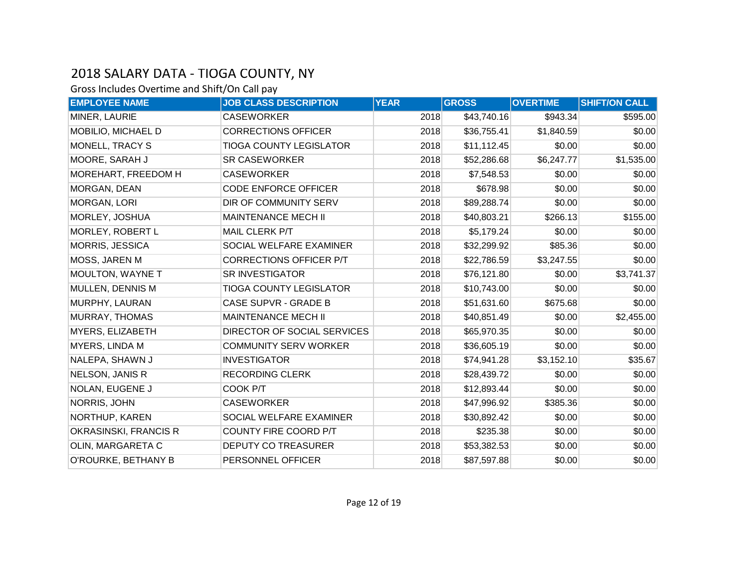| <b>EMPLOYEE NAME</b>    | <b>JOB CLASS DESCRIPTION</b>   | <b>YEAR</b> | <b>GROSS</b> | <b>OVERTIME</b> | <b>SHIFT/ON CALL</b> |
|-------------------------|--------------------------------|-------------|--------------|-----------------|----------------------|
| MINER, LAURIE           | <b>CASEWORKER</b>              | 2018        | \$43,740.16  | \$943.34        | \$595.00             |
| MOBILIO, MICHAEL D      | <b>CORRECTIONS OFFICER</b>     | 2018        | \$36,755.41  | \$1,840.59      | \$0.00               |
| MONELL, TRACY S         | <b>TIOGA COUNTY LEGISLATOR</b> | 2018        | \$11,112.45  | \$0.00          | \$0.00               |
| MOORE, SARAH J          | <b>SR CASEWORKER</b>           | 2018        | \$52,286.68  | \$6,247.77      | \$1,535.00           |
| MOREHART, FREEDOM H     | <b>CASEWORKER</b>              | 2018        | \$7,548.53   | \$0.00          | \$0.00               |
| MORGAN, DEAN            | <b>CODE ENFORCE OFFICER</b>    | 2018        | \$678.98     | \$0.00          | \$0.00               |
| <b>MORGAN, LORI</b>     | DIR OF COMMUNITY SERV          | 2018        | \$89,288.74  | \$0.00          | \$0.00               |
| MORLEY, JOSHUA          | MAINTENANCE MECH II            | 2018        | \$40,803.21  | \$266.13        | \$155.00             |
| MORLEY, ROBERT L        | MAIL CLERK P/T                 | 2018        | \$5,179.24   | \$0.00          | \$0.00               |
| <b>MORRIS, JESSICA</b>  | SOCIAL WELFARE EXAMINER        | 2018        | \$32,299.92  | \$85.36         | \$0.00               |
| MOSS, JAREN M           | CORRECTIONS OFFICER P/T        | 2018        | \$22,786.59  | \$3,247.55      | \$0.00               |
| <b>MOULTON, WAYNE T</b> | <b>SR INVESTIGATOR</b>         | 2018        | \$76,121.80  | \$0.00          | \$3,741.37           |
| MULLEN, DENNIS M        | <b>TIOGA COUNTY LEGISLATOR</b> | 2018        | \$10,743.00  | \$0.00          | \$0.00               |
| MURPHY, LAURAN          | <b>CASE SUPVR - GRADE B</b>    | 2018        | \$51,631.60  | \$675.68        | \$0.00               |
| <b>MURRAY, THOMAS</b>   | <b>MAINTENANCE MECH II</b>     | 2018        | \$40,851.49  | \$0.00          | \$2,455.00           |
| MYERS, ELIZABETH        | DIRECTOR OF SOCIAL SERVICES    | 2018        | \$65,970.35  | \$0.00          | \$0.00               |
| MYERS, LINDA M          | <b>COMMUNITY SERV WORKER</b>   | 2018        | \$36,605.19  | \$0.00          | \$0.00               |
| NALEPA, SHAWN J         | <b>INVESTIGATOR</b>            | 2018        | \$74,941.28  | \$3,152.10      | \$35.67              |
| <b>NELSON, JANIS R</b>  | <b>RECORDING CLERK</b>         | 2018        | \$28,439.72  | \$0.00          | \$0.00               |
| NOLAN, EUGENE J         | COOK P/T                       | 2018        | \$12,893.44  | \$0.00          | \$0.00               |
| NORRIS, JOHN            | <b>CASEWORKER</b>              | 2018        | \$47,996.92  | \$385.36        | \$0.00               |
| NORTHUP, KAREN          | SOCIAL WELFARE EXAMINER        | 2018        | \$30,892.42  | \$0.00          | \$0.00               |
| OKRASINSKI, FRANCIS R   | COUNTY FIRE COORD P/T          | 2018        | \$235.38     | \$0.00          | \$0.00               |
| OLIN, MARGARETA C       | <b>DEPUTY CO TREASURER</b>     | 2018        | \$53,382.53  | \$0.00          | \$0.00               |
| O'ROURKE, BETHANY B     | PERSONNEL OFFICER              | 2018        | \$87,597.88  | \$0.00          | \$0.00               |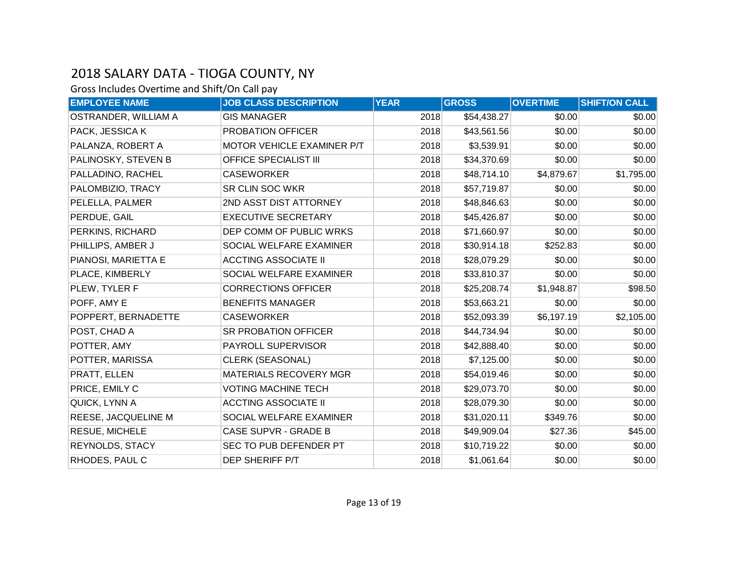| <b>EMPLOYEE NAME</b>  | <b>JOB CLASS DESCRIPTION</b>  | <b>YEAR</b> | <b>GROSS</b> | <b>OVERTIME</b> | <b>SHIFT/ON CALL</b> |
|-----------------------|-------------------------------|-------------|--------------|-----------------|----------------------|
| OSTRANDER, WILLIAM A  | <b>GIS MANAGER</b>            | 2018        | \$54,438.27  | \$0.00          | \$0.00               |
| PACK, JESSICA K       | PROBATION OFFICER             | 2018        | \$43,561.56  | \$0.00          | \$0.00               |
| PALANZA, ROBERT A     | MOTOR VEHICLE EXAMINER P/T    | 2018        | \$3,539.91   | \$0.00          | \$0.00               |
| PALINOSKY, STEVEN B   | <b>OFFICE SPECIALIST III</b>  | 2018        | \$34,370.69  | \$0.00          | \$0.00               |
| PALLADINO, RACHEL     | <b>CASEWORKER</b>             | 2018        | \$48,714.10  | \$4,879.67      | \$1,795.00           |
| PALOMBIZIO, TRACY     | <b>SR CLIN SOC WKR</b>        | 2018        | \$57,719.87  | \$0.00          | \$0.00               |
| PELELLA, PALMER       | 2ND ASST DIST ATTORNEY        | 2018        | \$48,846.63  | \$0.00          | \$0.00               |
| PERDUE, GAIL          | <b>EXECUTIVE SECRETARY</b>    | 2018        | \$45,426.87  | \$0.00          | \$0.00               |
| PERKINS, RICHARD      | DEP COMM OF PUBLIC WRKS       | 2018        | \$71,660.97  | \$0.00          | \$0.00               |
| PHILLIPS, AMBER J     | SOCIAL WELFARE EXAMINER       | 2018        | \$30,914.18  | \$252.83        | \$0.00               |
| PIANOSI, MARIETTA E   | <b>ACCTING ASSOCIATE II</b>   | 2018        | \$28,079.29  | \$0.00          | \$0.00               |
| PLACE, KIMBERLY       | SOCIAL WELFARE EXAMINER       | 2018        | \$33,810.37  | \$0.00          | \$0.00               |
| PLEW, TYLER F         | <b>CORRECTIONS OFFICER</b>    | 2018        | \$25,208.74  | \$1,948.87      | \$98.50              |
| POFF, AMY E           | <b>BENEFITS MANAGER</b>       | 2018        | \$53,663.21  | \$0.00          | \$0.00               |
| POPPERT, BERNADETTE   | <b>CASEWORKER</b>             | 2018        | \$52,093.39  | \$6,197.19      | \$2,105.00           |
| POST, CHAD A          | SR PROBATION OFFICER          | 2018        | \$44,734.94  | \$0.00          | \$0.00               |
| POTTER, AMY           | PAYROLL SUPERVISOR            | 2018        | \$42,888.40  | \$0.00          | \$0.00               |
| POTTER, MARISSA       | <b>CLERK (SEASONAL)</b>       | 2018        | \$7,125.00   | \$0.00          | \$0.00               |
| PRATT, ELLEN          | <b>MATERIALS RECOVERY MGR</b> | 2018        | \$54,019.46  | \$0.00          | \$0.00               |
| PRICE, EMILY C        | <b>VOTING MACHINE TECH</b>    | 2018        | \$29,073.70  | \$0.00          | \$0.00               |
| QUICK, LYNN A         | <b>ACCTING ASSOCIATE II</b>   | 2018        | \$28,079.30  | \$0.00          | \$0.00               |
| REESE, JACQUELINE M   | SOCIAL WELFARE EXAMINER       | 2018        | \$31,020.11  | \$349.76        | \$0.00               |
| <b>RESUE, MICHELE</b> | <b>CASE SUPVR - GRADE B</b>   | 2018        | \$49,909.04  | \$27.36         | \$45.00              |
| REYNOLDS, STACY       | SEC TO PUB DEFENDER PT        | 2018        | \$10,719.22  | \$0.00          | \$0.00               |
| RHODES, PAUL C        | DEP SHERIFF P/T               | 2018        | \$1,061.64   | \$0.00          | \$0.00               |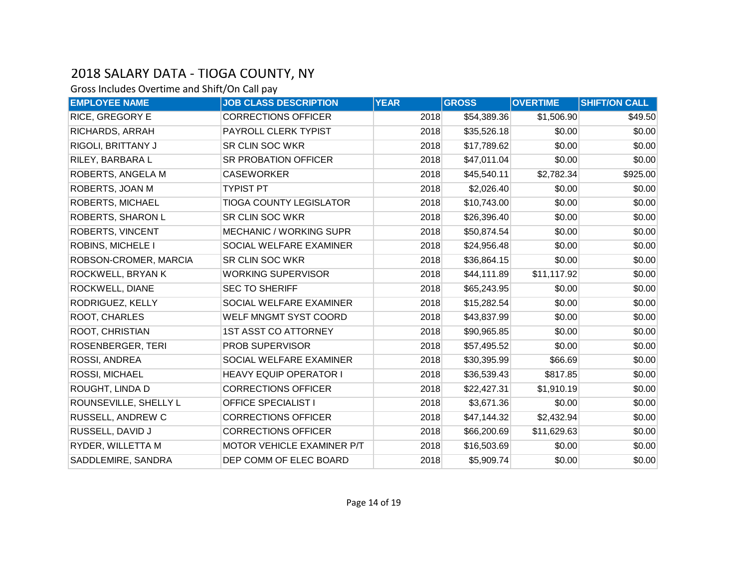| <b>EMPLOYEE NAME</b>     | <b>JOB CLASS DESCRIPTION</b>   | <b>YEAR</b> | <b>GROSS</b> | <b>OVERTIME</b> | <b>SHIFT/ON CALL</b> |
|--------------------------|--------------------------------|-------------|--------------|-----------------|----------------------|
| RICE, GREGORY E          | <b>CORRECTIONS OFFICER</b>     | 2018        | \$54,389.36  | \$1,506.90      | \$49.50              |
| RICHARDS, ARRAH          | PAYROLL CLERK TYPIST           | 2018        | \$35,526.18  | \$0.00          | \$0.00               |
| RIGOLI, BRITTANY J       | SR CLIN SOC WKR                | 2018        | \$17,789.62  | \$0.00          | \$0.00               |
| RILEY, BARBARA L         | SR PROBATION OFFICER           | 2018        | \$47,011.04  | \$0.00          | \$0.00               |
| ROBERTS, ANGELA M        | <b>CASEWORKER</b>              | 2018        | \$45,540.11  | \$2,782.34      | \$925.00             |
| ROBERTS, JOAN M          | <b>TYPIST PT</b>               | 2018        | \$2,026.40   | \$0.00          | \$0.00               |
| ROBERTS, MICHAEL         | <b>TIOGA COUNTY LEGISLATOR</b> | 2018        | \$10,743.00  | \$0.00          | \$0.00               |
| ROBERTS, SHARON L        | SR CLIN SOC WKR                | 2018        | \$26,396.40  | \$0.00          | \$0.00               |
| <b>ROBERTS, VINCENT</b>  | <b>MECHANIC / WORKING SUPR</b> | 2018        | \$50,874.54  | \$0.00          | \$0.00               |
| <b>ROBINS, MICHELE I</b> | SOCIAL WELFARE EXAMINER        | 2018        | \$24,956.48  | \$0.00          | \$0.00               |
| ROBSON-CROMER, MARCIA    | SR CLIN SOC WKR                | 2018        | \$36,864.15  | \$0.00          | \$0.00               |
| ROCKWELL, BRYAN K        | <b>WORKING SUPERVISOR</b>      | 2018        | \$44,111.89  | \$11,117.92     | \$0.00               |
| ROCKWELL, DIANE          | <b>SEC TO SHERIFF</b>          | 2018        | \$65,243.95  | \$0.00          | \$0.00               |
| RODRIGUEZ, KELLY         | SOCIAL WELFARE EXAMINER        | 2018        | \$15,282.54  | \$0.00          | \$0.00               |
| ROOT, CHARLES            | WELF MNGMT SYST COORD          | 2018        | \$43,837.99  | \$0.00          | \$0.00               |
| <b>ROOT, CHRISTIAN</b>   | <b>1ST ASST CO ATTORNEY</b>    | 2018        | \$90,965.85  | \$0.00          | \$0.00               |
| ROSENBERGER, TERI        | PROB SUPERVISOR                | 2018        | \$57,495.52  | \$0.00          | \$0.00               |
| ROSSI, ANDREA            | SOCIAL WELFARE EXAMINER        | 2018        | \$30,395.99  | \$66.69         | \$0.00               |
| ROSSI, MICHAEL           | <b>HEAVY EQUIP OPERATOR I</b>  | 2018        | \$36,539.43  | \$817.85        | \$0.00               |
| ROUGHT, LINDA D          | <b>CORRECTIONS OFFICER</b>     | 2018        | \$22,427.31  | \$1,910.19      | \$0.00               |
| ROUNSEVILLE, SHELLY L    | <b>OFFICE SPECIALIST I</b>     | 2018        | \$3,671.36   | \$0.00          | \$0.00               |
| RUSSELL, ANDREW C        | <b>CORRECTIONS OFFICER</b>     | 2018        | \$47,144.32  | \$2,432.94      | \$0.00               |
| RUSSELL, DAVID J         | <b>CORRECTIONS OFFICER</b>     | 2018        | \$66,200.69  | \$11,629.63     | \$0.00               |
| RYDER, WILLETTA M        | MOTOR VEHICLE EXAMINER P/T     | 2018        | \$16,503.69  | \$0.00          | \$0.00               |
| SADDLEMIRE, SANDRA       | DEP COMM OF ELEC BOARD         | 2018        | \$5,909.74   | \$0.00          | \$0.00               |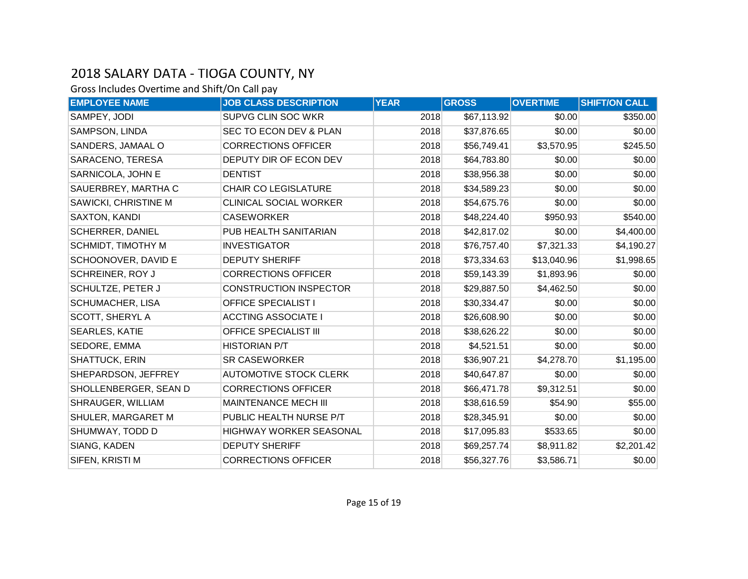| <b>EMPLOYEE NAME</b>    | <b>JOB CLASS DESCRIPTION</b>  | <b>YEAR</b> | <b>GROSS</b> | <b>OVERTIME</b> | <b>SHIFT/ON CALL</b> |
|-------------------------|-------------------------------|-------------|--------------|-----------------|----------------------|
| SAMPEY, JODI            | SUPVG CLIN SOC WKR            | 2018        | \$67,113.92  | \$0.00          | \$350.00             |
| SAMPSON, LINDA          | SEC TO ECON DEV & PLAN        | 2018        | \$37,876.65  | \$0.00          | \$0.00               |
| SANDERS, JAMAAL O       | <b>CORRECTIONS OFFICER</b>    | 2018        | \$56,749.41  | \$3,570.95      | \$245.50             |
| SARACENO, TERESA        | DEPUTY DIR OF ECON DEV        | 2018        | \$64,783.80  | \$0.00          | \$0.00               |
| SARNICOLA, JOHN E       | <b>DENTIST</b>                | 2018        | \$38,956.38  | \$0.00          | \$0.00               |
| SAUERBREY, MARTHA C     | <b>CHAIR CO LEGISLATURE</b>   | 2018        | \$34,589.23  | \$0.00          | \$0.00               |
| SAWICKI, CHRISTINE M    | <b>CLINICAL SOCIAL WORKER</b> | 2018        | \$54,675.76  | \$0.00          | \$0.00               |
| SAXTON, KANDI           | <b>CASEWORKER</b>             | 2018        | \$48,224.40  | \$950.93        | \$540.00             |
| <b>SCHERRER, DANIEL</b> | PUB HEALTH SANITARIAN         | 2018        | \$42,817.02  | \$0.00          | \$4,400.00           |
| SCHMIDT, TIMOTHY M      | <b>INVESTIGATOR</b>           | 2018        | \$76,757.40  | \$7,321.33      | \$4,190.27           |
| SCHOONOVER, DAVID E     | <b>DEPUTY SHERIFF</b>         | 2018        | \$73,334.63  | \$13,040.96     | \$1,998.65           |
| <b>SCHREINER, ROY J</b> | <b>CORRECTIONS OFFICER</b>    | 2018        | \$59,143.39  | \$1,893.96      | \$0.00               |
| SCHULTZE, PETER J       | <b>CONSTRUCTION INSPECTOR</b> | 2018        | \$29,887.50  | \$4,462.50      | \$0.00               |
| SCHUMACHER, LISA        | <b>OFFICE SPECIALIST I</b>    | 2018        | \$30,334.47  | \$0.00          | \$0.00               |
| SCOTT, SHERYL A         | <b>ACCTING ASSOCIATE I</b>    | 2018        | \$26,608.90  | \$0.00          | \$0.00               |
| <b>SEARLES, KATIE</b>   | <b>OFFICE SPECIALIST III</b>  | 2018        | \$38,626.22  | \$0.00          | \$0.00               |
| SEDORE, EMMA            | <b>HISTORIAN P/T</b>          | 2018        | \$4,521.51   | \$0.00          | \$0.00               |
| SHATTUCK, ERIN          | <b>SR CASEWORKER</b>          | 2018        | \$36,907.21  | \$4,278.70      | \$1,195.00           |
| SHEPARDSON, JEFFREY     | <b>AUTOMOTIVE STOCK CLERK</b> | 2018        | \$40,647.87  | \$0.00          | \$0.00               |
| SHOLLENBERGER, SEAN D   | <b>CORRECTIONS OFFICER</b>    | 2018        | \$66,471.78  | \$9,312.51      | \$0.00               |
| SHRAUGER, WILLIAM       | <b>MAINTENANCE MECH III</b>   | 2018        | \$38,616.59  | \$54.90         | \$55.00              |
| SHULER, MARGARET M      | PUBLIC HEALTH NURSE P/T       | 2018        | \$28,345.91  | \$0.00          | \$0.00               |
| SHUMWAY, TODD D         | HIGHWAY WORKER SEASONAL       | 2018        | \$17,095.83  | \$533.65        | \$0.00               |
| SIANG, KADEN            | <b>DEPUTY SHERIFF</b>         | 2018        | \$69,257.74  | \$8,911.82      | \$2,201.42           |
| SIFEN, KRISTI M         | <b>CORRECTIONS OFFICER</b>    | 2018        | \$56,327.76  | \$3,586.71      | \$0.00               |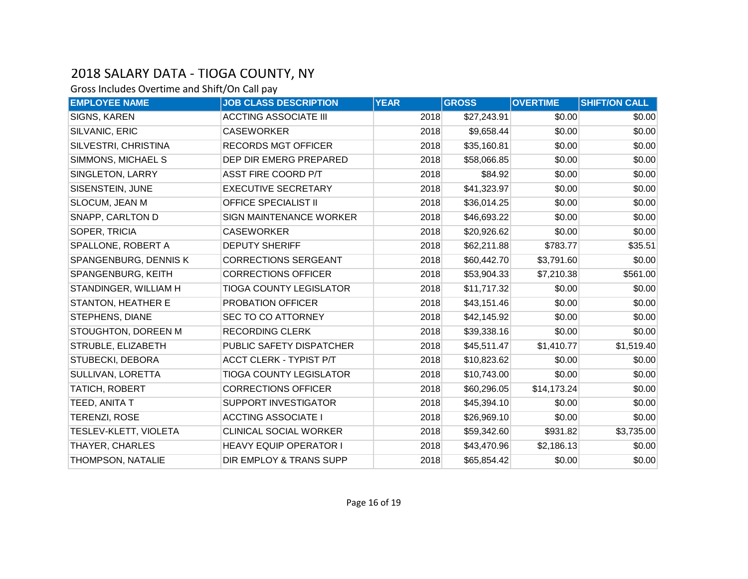| <b>EMPLOYEE NAME</b>         | <b>JOB CLASS DESCRIPTION</b>   | <b>YEAR</b> | <b>GROSS</b> | <b>OVERTIME</b> | <b>SHIFT/ON CALL</b> |
|------------------------------|--------------------------------|-------------|--------------|-----------------|----------------------|
| SIGNS, KAREN                 | <b>ACCTING ASSOCIATE III</b>   | 2018        | \$27,243.91  | \$0.00          | \$0.00               |
| SILVANIC, ERIC               | <b>CASEWORKER</b>              | 2018        | \$9,658.44   | \$0.00          | \$0.00               |
| SILVESTRI, CHRISTINA         | <b>RECORDS MGT OFFICER</b>     | 2018        | \$35,160.81  | \$0.00          | \$0.00               |
| SIMMONS, MICHAEL S           | DEP DIR EMERG PREPARED         | 2018        | \$58,066.85  | \$0.00          | \$0.00               |
| SINGLETON, LARRY             | ASST FIRE COORD P/T            | 2018        | \$84.92      | \$0.00          | \$0.00               |
| SISENSTEIN, JUNE             | <b>EXECUTIVE SECRETARY</b>     | 2018        | \$41,323.97  | \$0.00          | \$0.00               |
| SLOCUM, JEAN M               | <b>OFFICE SPECIALIST II</b>    | 2018        | \$36,014.25  | \$0.00          | \$0.00               |
| SNAPP, CARLTON D             | <b>SIGN MAINTENANCE WORKER</b> | 2018        | \$46,693.22  | \$0.00          | \$0.00               |
| SOPER, TRICIA                | <b>CASEWORKER</b>              | 2018        | \$20,926.62  | \$0.00          | \$0.00               |
| SPALLONE, ROBERT A           | <b>DEPUTY SHERIFF</b>          | 2018        | \$62,211.88  | \$783.77        | \$35.51              |
| SPANGENBURG, DENNIS K        | <b>CORRECTIONS SERGEANT</b>    | 2018        | \$60,442.70  | \$3,791.60      | \$0.00               |
| SPANGENBURG, KEITH           | <b>CORRECTIONS OFFICER</b>     | 2018        | \$53,904.33  | \$7,210.38      | \$561.00             |
| STANDINGER, WILLIAM H        | <b>TIOGA COUNTY LEGISLATOR</b> | 2018        | \$11,717.32  | \$0.00          | \$0.00               |
| STANTON, HEATHER E           | PROBATION OFFICER              | 2018        | \$43,151.46  | \$0.00          | \$0.00               |
| STEPHENS, DIANE              | <b>SEC TO CO ATTORNEY</b>      | 2018        | \$42,145.92  | \$0.00          | \$0.00               |
| STOUGHTON, DOREEN M          | <b>RECORDING CLERK</b>         | 2018        | \$39,338.16  | \$0.00          | \$0.00               |
| STRUBLE, ELIZABETH           | PUBLIC SAFETY DISPATCHER       | 2018        | \$45,511.47  | \$1,410.77      | \$1,519.40           |
| STUBECKI, DEBORA             | <b>ACCT CLERK - TYPIST P/T</b> | 2018        | \$10,823.62  | \$0.00          | \$0.00               |
| SULLIVAN, LORETTA            | <b>TIOGA COUNTY LEGISLATOR</b> | 2018        | \$10,743.00  | \$0.00          | \$0.00               |
| TATICH, ROBERT               | <b>CORRECTIONS OFFICER</b>     | 2018        | \$60,296.05  | \$14,173.24     | \$0.00               |
| TEED, ANITA T                | SUPPORT INVESTIGATOR           | 2018        | \$45,394.10  | \$0.00          | \$0.00               |
| <b>TERENZI, ROSE</b>         | <b>ACCTING ASSOCIATE I</b>     | 2018        | \$26,969.10  | \$0.00          | \$0.00               |
| <b>TESLEV-KLETT, VIOLETA</b> | <b>CLINICAL SOCIAL WORKER</b>  | 2018        | \$59,342.60  | \$931.82        | \$3,735.00           |
| THAYER, CHARLES              | <b>HEAVY EQUIP OPERATOR I</b>  | 2018        | \$43,470.96  | \$2,186.13      | \$0.00               |
| THOMPSON, NATALIE            | DIR EMPLOY & TRANS SUPP        | 2018        | \$65,854.42  | \$0.00          | \$0.00               |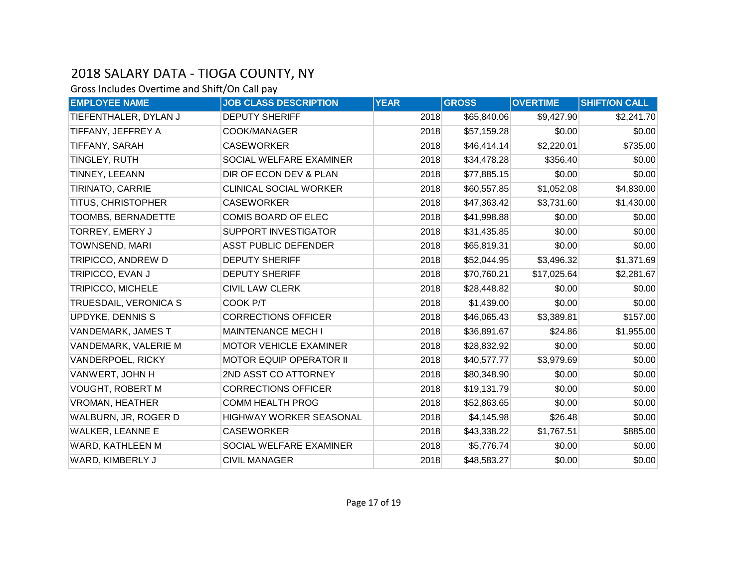| <b>EMPLOYEE NAME</b>     | <b>JOB CLASS DESCRIPTION</b>   | <b>YEAR</b> | <b>GROSS</b> | <b>OVERTIME</b> | <b>SHIFT/ON CALL</b> |
|--------------------------|--------------------------------|-------------|--------------|-----------------|----------------------|
| TIEFENTHALER, DYLAN J    | <b>DEPUTY SHERIFF</b>          | 2018        | \$65,840.06  | \$9,427.90      | \$2,241.70           |
| TIFFANY, JEFFREY A       | COOK/MANAGER                   | 2018        | \$57,159.28  | \$0.00          | \$0.00               |
| TIFFANY, SARAH           | <b>CASEWORKER</b>              | 2018        | \$46,414.14  | \$2,220.01      | \$735.00             |
| TINGLEY, RUTH            | SOCIAL WELFARE EXAMINER        | 2018        | \$34,478.28  | \$356.40        | \$0.00               |
| TINNEY, LEEANN           | DIR OF ECON DEV & PLAN         | 2018        | \$77,885.15  | \$0.00          | \$0.00               |
| <b>TIRINATO, CARRIE</b>  | <b>CLINICAL SOCIAL WORKER</b>  | 2018        | \$60,557.85  | \$1,052.08      | \$4,830.00           |
| TITUS, CHRISTOPHER       | <b>CASEWORKER</b>              | 2018        | \$47,363.42  | \$3,731.60      | \$1,430.00           |
| TOOMBS, BERNADETTE       | COMIS BOARD OF ELEC            | 2018        | \$41,998.88  | \$0.00          | \$0.00               |
| TORREY, EMERY J          | SUPPORT INVESTIGATOR           | 2018        | \$31,435.85  | \$0.00          | \$0.00               |
| TOWNSEND, MARI           | <b>ASST PUBLIC DEFENDER</b>    | 2018        | \$65,819.31  | \$0.00          | \$0.00               |
| TRIPICCO, ANDREW D       | <b>DEPUTY SHERIFF</b>          | 2018        | \$52,044.95  | \$3,496.32      | \$1,371.69           |
| TRIPICCO, EVAN J         | <b>DEPUTY SHERIFF</b>          | 2018        | \$70,760.21  | \$17,025.64     | \$2,281.67           |
| <b>TRIPICCO, MICHELE</b> | <b>CIVIL LAW CLERK</b>         | 2018        | \$28,448.82  | \$0.00          | \$0.00               |
| TRUESDAIL, VERONICA S    | COOK P/T                       | 2018        | \$1,439.00   | \$0.00          | \$0.00               |
| UPDYKE, DENNIS S         | <b>CORRECTIONS OFFICER</b>     | 2018        | \$46,065.43  | \$3,389.81      | \$157.00             |
| VANDEMARK, JAMES T       | <b>MAINTENANCE MECH I</b>      | 2018        | \$36,891.67  | \$24.86         | \$1,955.00           |
| VANDEMARK, VALERIE M     | <b>MOTOR VEHICLE EXAMINER</b>  | 2018        | \$28,832.92  | \$0.00          | \$0.00               |
| VANDERPOEL, RICKY        | <b>MOTOR EQUIP OPERATOR II</b> | 2018        | \$40,577.77  | \$3,979.69      | \$0.00               |
| VANWERT, JOHN H          | 2ND ASST CO ATTORNEY           | 2018        | \$80,348.90  | \$0.00          | \$0.00               |
| <b>VOUGHT, ROBERT M</b>  | <b>CORRECTIONS OFFICER</b>     | 2018        | \$19,131.79  | \$0.00          | \$0.00               |
| <b>VROMAN, HEATHER</b>   | <b>COMM HEALTH PROG</b>        | 2018        | \$52,863.65  | \$0.00          | \$0.00               |
| WALBURN, JR, ROGER D     | HIGHWAY WORKER SEASONAL        | 2018        | \$4,145.98   | \$26.48         | \$0.00               |
| WALKER, LEANNE E         | <b>CASEWORKER</b>              | 2018        | \$43,338.22  | \$1,767.51      | \$885.00             |
| WARD, KATHLEEN M         | SOCIAL WELFARE EXAMINER        | 2018        | \$5,776.74   | \$0.00          | \$0.00               |
| WARD, KIMBERLY J         | <b>CIVIL MANAGER</b>           | 2018        | \$48,583.27  | \$0.00          | \$0.00               |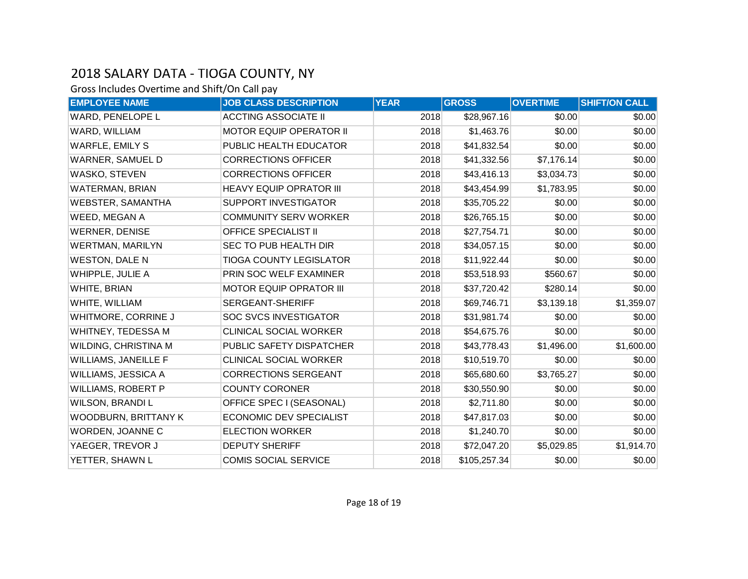| <b>EMPLOYEE NAME</b>      | <b>JOB CLASS DESCRIPTION</b>   | <b>YEAR</b> | <b>GROSS</b> | <b>OVERTIME</b> | <b>SHIFT/ON CALL</b> |
|---------------------------|--------------------------------|-------------|--------------|-----------------|----------------------|
| WARD, PENELOPE L          | <b>ACCTING ASSOCIATE II</b>    | 2018        | \$28,967.16  | \$0.00          | \$0.00               |
| WARD, WILLIAM             | <b>MOTOR EQUIP OPERATOR II</b> | 2018        | \$1,463.76   | \$0.00          | \$0.00               |
| WARFLE, EMILY S           | PUBLIC HEALTH EDUCATOR         | 2018        | \$41,832.54  | \$0.00          | \$0.00               |
| WARNER, SAMUEL D          | <b>CORRECTIONS OFFICER</b>     | 2018        | \$41,332.56  | \$7,176.14      | \$0.00               |
| WASKO, STEVEN             | <b>CORRECTIONS OFFICER</b>     | 2018        | \$43,416.13  | \$3,034.73      | \$0.00               |
| WATERMAN, BRIAN           | <b>HEAVY EQUIP OPRATOR III</b> | 2018        | \$43,454.99  | \$1,783.95      | \$0.00               |
| <b>WEBSTER, SAMANTHA</b>  | <b>SUPPORT INVESTIGATOR</b>    | 2018        | \$35,705.22  | \$0.00          | \$0.00               |
| WEED, MEGAN A             | <b>COMMUNITY SERV WORKER</b>   | 2018        | \$26,765.15  | \$0.00          | \$0.00               |
| <b>WERNER, DENISE</b>     | <b>OFFICE SPECIALIST II</b>    | 2018        | \$27,754.71  | \$0.00          | \$0.00               |
| <b>WERTMAN, MARILYN</b>   | SEC TO PUB HEALTH DIR          | 2018        | \$34,057.15  | \$0.00          | \$0.00               |
| <b>WESTON, DALE N</b>     | <b>TIOGA COUNTY LEGISLATOR</b> | 2018        | \$11,922.44  | \$0.00          | \$0.00               |
| WHIPPLE, JULIE A          | PRIN SOC WELF EXAMINER         | 2018        | \$53,518.93  | \$560.67        | \$0.00               |
| WHITE, BRIAN              | <b>MOTOR EQUIP OPRATOR III</b> | 2018        | \$37,720.42  | \$280.14        | \$0.00               |
| WHITE, WILLIAM            | SERGEANT-SHERIFF               | 2018        | \$69,746.71  | \$3,139.18      | \$1,359.07           |
| WHITMORE, CORRINE J       | <b>SOC SVCS INVESTIGATOR</b>   | 2018        | \$31,981.74  | \$0.00          | \$0.00               |
| WHITNEY, TEDESSA M        | <b>CLINICAL SOCIAL WORKER</b>  | 2018        | \$54,675.76  | \$0.00          | \$0.00               |
| WILDING, CHRISTINA M      | PUBLIC SAFETY DISPATCHER       | 2018        | \$43,778.43  | \$1,496.00      | \$1,600.00           |
| WILLIAMS, JANEILLE F      | <b>CLINICAL SOCIAL WORKER</b>  | 2018        | \$10,519.70  | \$0.00          | \$0.00               |
| WILLIAMS, JESSICA A       | <b>CORRECTIONS SERGEANT</b>    | 2018        | \$65,680.60  | \$3,765.27      | \$0.00               |
| <b>WILLIAMS, ROBERT P</b> | <b>COUNTY CORONER</b>          | 2018        | \$30,550.90  | \$0.00          | \$0.00               |
| <b>WILSON, BRANDIL</b>    | OFFICE SPEC I (SEASONAL)       | 2018        | \$2,711.80   | \$0.00          | \$0.00               |
| WOODBURN, BRITTANY K      | ECONOMIC DEV SPECIALIST        | 2018        | \$47,817.03  | \$0.00          | \$0.00               |
| WORDEN, JOANNE C          | <b>ELECTION WORKER</b>         | 2018        | \$1,240.70   | \$0.00          | \$0.00               |
| YAEGER, TREVOR J          | <b>DEPUTY SHERIFF</b>          | 2018        | \$72,047.20  | \$5,029.85      | \$1,914.70           |
| YETTER, SHAWN L           | <b>COMIS SOCIAL SERVICE</b>    | 2018        | \$105,257.34 | \$0.00          | \$0.00               |